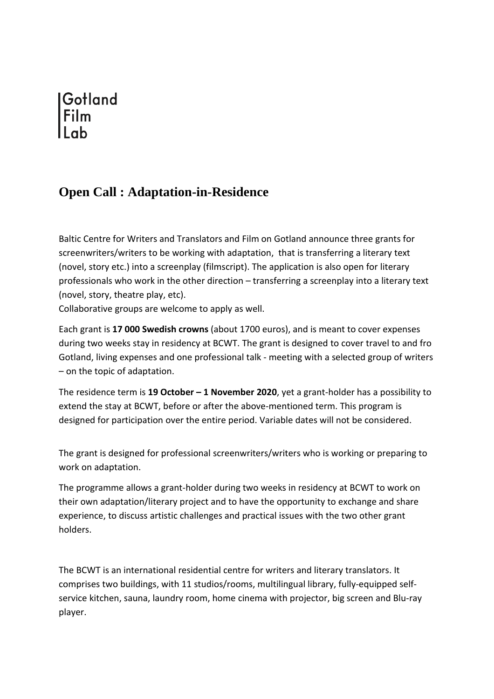## Gotland

## **Open Call : Adaptation-in-Residence**

Baltic Centre for Writers and Translators and Film on Gotland announce three grants for screenwriters/writers to be working with adaptation, that is transferring a literary text (novel, story etc.) into a screenplay (filmscript). The application is also open for literary professionals who work in the other direction – transferring a screenplay into a literary text (novel, story, theatre play, etc).

Collaborative groups are welcome to apply as well.

Each grant is **17 000 Swedish crowns** (about 1700 euros), and is meant to cover expenses during two weeks stay in residency at BCWT. The grant is designed to cover travel to and fro Gotland, living expenses and one professional talk - meeting with a selected group of writers – on the topic of adaptation.

The residence term is **19 October – 1 November 2020**, yet a grant-holder has a possibility to extend the stay at BCWT, before or after the above-mentioned term. This program is designed for participation over the entire period. Variable dates will not be considered.

The grant is designed for professional screenwriters/writers who is working or preparing to work on adaptation.

The programme allows a grant-holder during two weeks in residency at BCWT to work on their own adaptation/literary project and to have the opportunity to exchange and share experience, to discuss artistic challenges and practical issues with the two other grant holders.

The BCWT is an international residential centre for writers and literary translators. It comprises two buildings, with 11 studios/rooms, multilingual library, fully-equipped selfservice kitchen, sauna, laundry room, home cinema with projector, big screen and Blu-ray player.